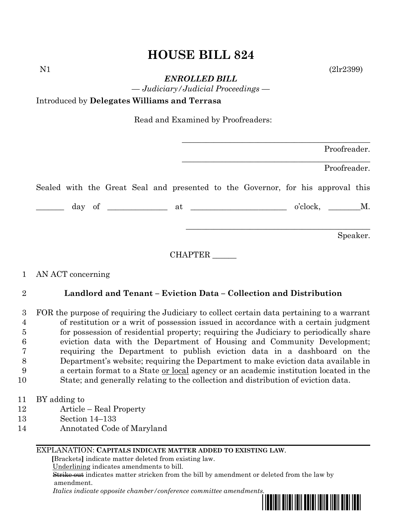# **HOUSE BILL 824**

N1 (2lr2399)

*ENROLLED BILL*

*— Judiciary/Judicial Proceedings —*

## Introduced by **Delegates Williams and Terrasa**

Read and Examined by Proofreaders:

|  |  |  |  |                                                                                 | Proofreader. |                       |          |
|--|--|--|--|---------------------------------------------------------------------------------|--------------|-----------------------|----------|
|  |  |  |  |                                                                                 |              | Proofreader.          |          |
|  |  |  |  | Sealed with the Great Seal and presented to the Governor, for his approval this |              |                       |          |
|  |  |  |  |                                                                                 |              | o'clock, __________M. |          |
|  |  |  |  |                                                                                 |              |                       | Speaker. |

CHAPTER \_\_\_\_\_\_

## 1 AN ACT concerning

## 2 **Landlord and Tenant – Eviction Data – Collection and Distribution**

 FOR the purpose of requiring the Judiciary to collect certain data pertaining to a warrant of restitution or a writ of possession issued in accordance with a certain judgment for possession of residential property; requiring the Judiciary to periodically share eviction data with the Department of Housing and Community Development; requiring the Department to publish eviction data in a dashboard on the Department's website; requiring the Department to make eviction data available in a certain format to a State or local agency or an academic institution located in the State; and generally relating to the collection and distribution of eviction data.

- 11 BY adding to
- 12 Article Real Property
- 13 Section 14–133
- 14 Annotated Code of Maryland

#### EXPLANATION: **CAPITALS INDICATE MATTER ADDED TO EXISTING LAW**.

 **[**Brackets**]** indicate matter deleted from existing law.

Underlining indicates amendments to bill.

 Strike out indicates matter stricken from the bill by amendment or deleted from the law by amendment.

 *Italics indicate opposite chamber/conference committee amendments.*

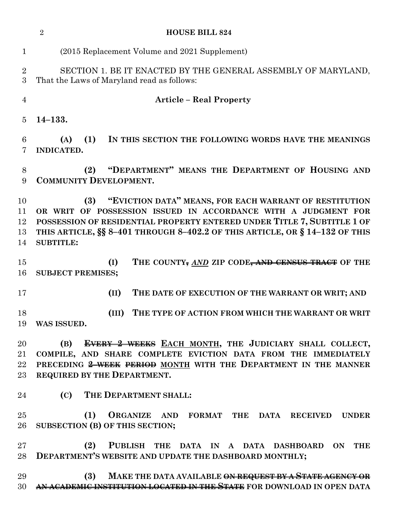|                            | $\overline{2}$<br><b>HOUSE BILL 824</b>                                                                                                                                                                                                                                                                       |  |  |  |  |  |  |  |  |  |
|----------------------------|---------------------------------------------------------------------------------------------------------------------------------------------------------------------------------------------------------------------------------------------------------------------------------------------------------------|--|--|--|--|--|--|--|--|--|
| $\mathbf{1}$               | (2015 Replacement Volume and 2021 Supplement)                                                                                                                                                                                                                                                                 |  |  |  |  |  |  |  |  |  |
| $\overline{2}$<br>3        | SECTION 1. BE IT ENACTED BY THE GENERAL ASSEMBLY OF MARYLAND,<br>That the Laws of Maryland read as follows:                                                                                                                                                                                                   |  |  |  |  |  |  |  |  |  |
| $\overline{4}$             | <b>Article – Real Property</b>                                                                                                                                                                                                                                                                                |  |  |  |  |  |  |  |  |  |
| 5                          | $14 - 133.$                                                                                                                                                                                                                                                                                                   |  |  |  |  |  |  |  |  |  |
| 6<br>7                     | (1)<br>(A)<br>IN THIS SECTION THE FOLLOWING WORDS HAVE THE MEANINGS<br>INDICATED.                                                                                                                                                                                                                             |  |  |  |  |  |  |  |  |  |
| $8\,$<br>9                 | "DEPARTMENT" MEANS THE DEPARTMENT OF HOUSING AND<br>(2)<br><b>COMMUNITY DEVELOPMENT.</b>                                                                                                                                                                                                                      |  |  |  |  |  |  |  |  |  |
| 10<br>11<br>12<br>13<br>14 | "EVICTION DATA" MEANS, FOR EACH WARRANT OF RESTITUTION<br>(3)<br>OR WRIT OF POSSESSION ISSUED IN ACCORDANCE WITH A JUDGMENT FOR<br>POSSESSION OF RESIDENTIAL PROPERTY ENTERED UNDER TITLE 7, SUBTITLE 1 OF<br>THIS ARTICLE, §§ 8-401 THROUGH 8-402.2 OF THIS ARTICLE, OR § 14-132 OF THIS<br><b>SUBTITLE:</b> |  |  |  |  |  |  |  |  |  |
| 15<br>16                   | (I)<br>THE COUNTY, AND ZIP CODE, AND CENSUS TRACT OF THE<br><b>SUBJECT PREMISES;</b>                                                                                                                                                                                                                          |  |  |  |  |  |  |  |  |  |
| 17                         | THE DATE OF EXECUTION OF THE WARRANT OR WRIT; AND<br>(II)                                                                                                                                                                                                                                                     |  |  |  |  |  |  |  |  |  |
| 18<br>19                   | THE TYPE OF ACTION FROM WHICH THE WARRANT OR WRIT<br>(III)<br>WAS ISSUED.                                                                                                                                                                                                                                     |  |  |  |  |  |  |  |  |  |
| 20<br>21<br>22<br>$23\,$   | EVERY 2 WEEKS EACH MONTH, THE JUDICIARY SHALL COLLECT,<br>(B)<br>COMPILE, AND SHARE COMPLETE EVICTION DATA FROM THE IMMEDIATELY<br>PRECEDING 2 WEEK PERIOD MONTH WITH THE DEPARTMENT IN THE MANNER<br>REQUIRED BY THE DEPARTMENT.                                                                             |  |  |  |  |  |  |  |  |  |
| 24                         | (C) THE DEPARTMENT SHALL:                                                                                                                                                                                                                                                                                     |  |  |  |  |  |  |  |  |  |
| 25<br>26                   | (1)<br>ORGANIZE AND FORMAT THE DATA RECEIVED<br><b>UNDER</b><br>SUBSECTION (B) OF THIS SECTION;                                                                                                                                                                                                               |  |  |  |  |  |  |  |  |  |
| $27\,$<br>$28\,$           | PUBLISH THE DATA IN A DATA DASHBOARD ON THE<br>(2)<br>DEPARTMENT'S WEBSITE AND UPDATE THE DASHBOARD MONTHLY;                                                                                                                                                                                                  |  |  |  |  |  |  |  |  |  |
| 29<br>30                   | MAKE THE DATA AVAILABLE <del>ON REQUEST BY A STATE AGENCY OR</del><br>(3)<br>AN ACADEMIC INSTITUTION LOCATED IN THE STATE FOR DOWNLOAD IN OPEN DATA                                                                                                                                                           |  |  |  |  |  |  |  |  |  |